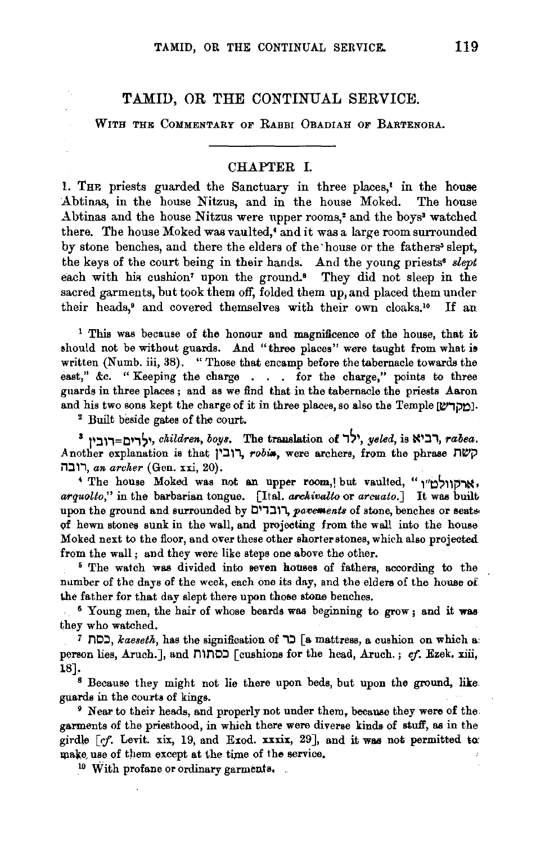# TAMID, OR THE CONTINUAL SERVICE.

WITH THE COMMENTARY OF RABBI OBADIAH OF BARTENORA.

# CHAPTER I.

1. THE priests guarded the Sanctuary in three places,<sup>*i*</sup> in the house Abtinas, in the house Nitzus, and in the house Moked. The house Abtinas and the house Nitzus were upper rooms,<sup>2</sup> and the boys<sup>3</sup> watched there. The house Moked was vaulted,• and it was a large room surrounded by stone benches, and there the elders of the' house or the fathers• slept, the keys of the court being in their hands. And the young priests• *slept*  each with his cushion' upon the ground.<sup>8</sup> They did not sleep in the sacred garments, but took them off, folded them up, and placed them under their heads,• and covered themselves with their own cloaks.'• If an

1 This was because of the honour and magnilicence of the house, that it should not be without guards. And "three places" were taught from what is written (Numb. iii, 38). "Those that encamp before the tabernacle towards the east," &c. " Keeping the charge . . . for the charge," points to three guards in three places; and as we find that in the tabernacle the priests Aaron and his two sons kept the charge of it in three places, so also the Temple [*g*].<br><sup>2</sup> Built beside gates of the court.

<sup>3</sup>)l:li,=CI,~I, *children, boys.* The translation of,,\ *yeled,* is ~~:::1,, *rabea .*  Another explanation is that  $\Gamma$ ובין, *robia*, were archers, from the phrase קשת

רובה, *an archer* (Gen. xxi, 20).<br>4 The house Moked was not an upper room,! but vaulted, "
an unit vaulted," *arquolto*," in the barbarian tongue. [Ital. *archivalto* or *arcuato.*] It was built upon the ground and surrounded by רובדים, pavements of stone, benches or seats of hewn stones sunk in the wall, and projecting from the wall into the house Moked next to the floor, and over these other shorter stones, whieh also projected from the wall; and they were like steps one above the other. 5 The watch was divided into seven houses of fathers, according to the

number of the days of the week, each one its day, and the elders of the house of

l.he father for that day slept there upon those stone benches. 6 Young men, the hair of whose beards was beginning to grow; and it was they who watched.

*7* **Acsecth, has the signification of**  $\Box$  **[a mattress, a cushion on which a:** person lies, .Aruch.J, and MIMO::l [cushions for the head, .Aruch.; cf. Ezek. xiii,

18]. 8 Because they might not lie there upon beds, but upon tha ground, like,

guards in the courts of kings.<br>9 Near to their heads, and properly not under them, because they were of the garments of the priesthood, in which there were diverse kinds of stuff, as in the girdle  $\lceil cf.$  Levit. xix, 19, and Exod. xxxix, 29], and it was not permitted to: make use of them except at the time of the service.

<sup>10</sup> With profane or ordinary garments.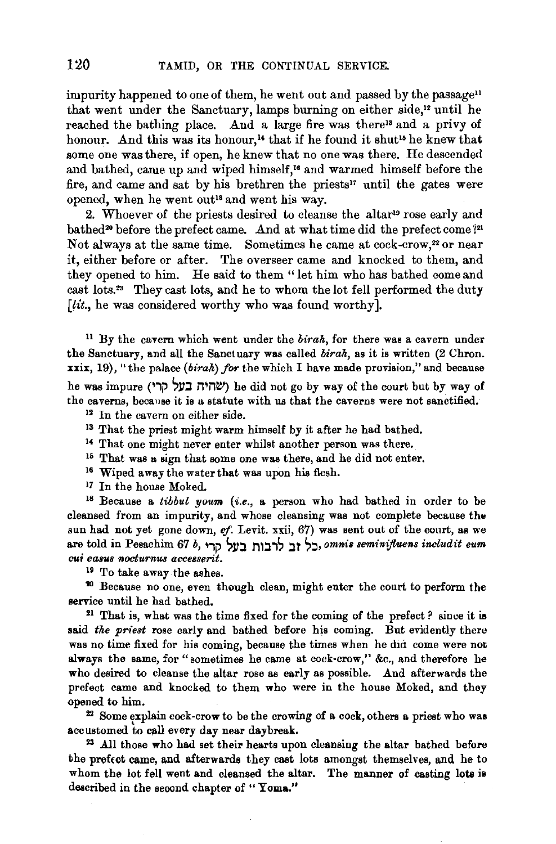impurity happened to one of them, he went out and passed by the passage<sup>11</sup> that went under the Sanctuary, lamps burning on either side,<sup>12</sup> until he reached the bathing place. And a large fire was there<sup>13</sup> and a privy of  $h^{(n)}$  and this was its honour.<sup>14</sup> that if he found it shut<sup>15</sup> he knew that some one was there, if open, he knew that no one was there. He descended and bathed, came up and wiped himself,<sup>16</sup> and warmed himself before the fire, and came and sat by his brethren the priests<sup>17</sup> until the gates were opened, when he went out<sup>18</sup> and went his way.

2. Whoever of the priests desired to cleanse the altar19 rose early and bathed<sup>20</sup> before the prefect came. And at what time did the prefect come  $i^{21}$ Not always at the same time. Sometimes he came at cock-crow,<sup>22</sup> or near it, either before or after. The overseer came and knocked to them, and they opened to him. He said to them " let him who has bathed come and cast lots.<sup>23</sup> They cast lots, and he to whom the lot fell performed the duty *[lit.,* he was considered worthy who was found worthy].

11 By the cavern which went under the *birah,* for there was a cavern under the Sanctuary, and all the Sanctuary was called *birah,* as it is written (2 Chron. xxix, 19), "the palace *(birah) for* the which I have made provision," and because he was impure ("אהיה בעל קרי") he did not go by way of the court but by way of the caverns, because it is a statute with us that the caverns were not sanctified.<br><sup>12</sup> In the cavern on either side.<br><sup>13</sup> That the priest might warm himself by it after he had bathed.<br><sup>14</sup> That one might never enter whils

<sup>17</sup> In the house Moked.<br><sup>18</sup> Because a *tibbul youm* (*i.e.*, a person who had bathed in order to be cleansed from an impurity, and whose cleansing was not complete because the sun had not yet gone down, ef. Levit. xxii, 67) was sent out of the court, as we are told in Pesachim 67 *b, כל זב לרבות בעל הרי, omnis seminifluens includit eum cui casus nocturnus accesserit.* 

19 To take away the ashes.

'10 Because no one, even though clean, might enter the court to perform the service until he had bathed.<br><sup>21</sup> That is, what was the time fixed for the coming of the prefect? since it is

said *the priest* rose early and bathed before his coming. But evidently there was no time fixed for his coming, because the times when he dia come were not always the same, for "sometimes he came at cock-crow," &c., and therefore he who desired to cleanse the altar rose as early as possible. And afterwards the prefect came and knocked to them who were in the house Moked, and they opened to him.<br>22 Some explain cock-crow to be the crowing of a cock, others a priest who was

accustomed to call every day near daybreak.<br><sup>23</sup> All those who had set their hearts upon cleansing the altar bathed before

the pref{ct came, and afterwards they cast lots amongst themselves, and he to whom the lot fell went and cleansed the altar. The manner of casting lots is described in the second chapter of "Yoma."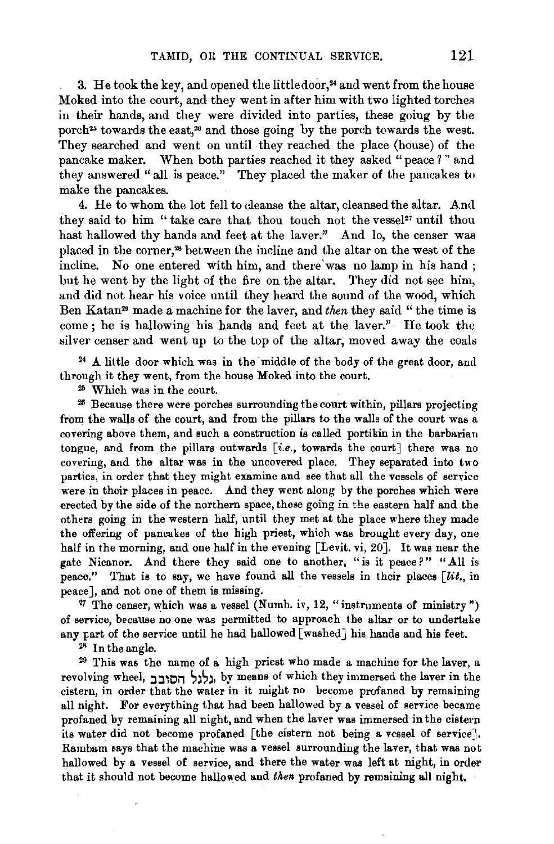3. He took the key, and opened the littledoor,<sup>24</sup> and went from the house Moked into the court, and they went in after him with two lighted torches in their hands, and they were divided into parties, these going by the porch<sup>23</sup> towards the east,<sup>26</sup> and those going by the porch towards the west. They searched and went on until they reached the place (house) of the pancake maker. When both parties reached it they asked "peace?" and they answered "all is peace." They placed the maker of the pancakes to make the pancakes.

4. He to whom the lot fell to cleanse the altar, cleansed the altar. And they said to him "take care that thou touch not the vessel<sup>27</sup> until thou hast hallowed thy hands and feet at the laver." And Io, the censer was placed in the corner,28 between the incline and the altar on the west of the incline. No one entered with him, and there was no lamp in his hand; but he went by the light of the fire on the altar. They did not see him, and did not hear his voice until they heard the sound of the wood, which Ben Katan<sup>29</sup> made a machine for the laver, and *then* they said " the time is come ; he is hallowing his hands and feet at the laver." He took the silver censer and went up to the top of the altar, moved away the coals

 $24$  A little door which was in the middle of the body of the great door, and through it they went, from the house Moked into the court. 25 Which was in the court.

 $\%$  Because there were porches surrounding the court within, pillars projecting from the walls of the court, and from the pillars to the walls of the court was a covering above them, and such a construction is called portikin in the barbarian tongue, and from the pillars outwards [i.e., towards the court] there was no covering, and the altar was in the uncovered place. They separated into two parties, in order that they might examine and see that all the vessels of service were in their places in peace. And they went along by the porches which were erected by the side of the northern space, these going in the eastern half and the others going in the western half, until they met at the place where they made the offering of pancakes of the high priest, which was brought every day, one half in the morning, and one half in the evening [Levit. vi, 20]. It was near the gate Nicanor. And there they said one to another, "is it peace?" "All is peace." That is to say, we have found all the vessels in their places  $[lit, in]$ peace], and not one of them is missing.

 $\sqrt[n]{i}$  The censer, which was a vessel (Numb. iv, 12, "instruments of ministry") of service, because no one was permitted to approach the altar or to undertake any part of the service until he had hallowed [washed] his hands and his feet.

<sup>28</sup> In the angle.<br><sup>29</sup> This was the name of a high priest who made a machine for the laver, a revolving wheel, <sub>גלגל</sub> הסובב, by means of which they immersed the laver in the cistern, in order that the water in it might no. become profaned by remaining all night. For everything that had been hallowed by a vessel of service became profaned by remaining all night, and when the laver was immersed in the cistern its water did not become profaned [the cistern not being a vessel of service]. Rambam says that the machine was a vessel surrounding the laver, that was not hallowed by a vessel of service, and there the water was left at night, in order that it should not become hallowed and *then* profaned by remaining all night.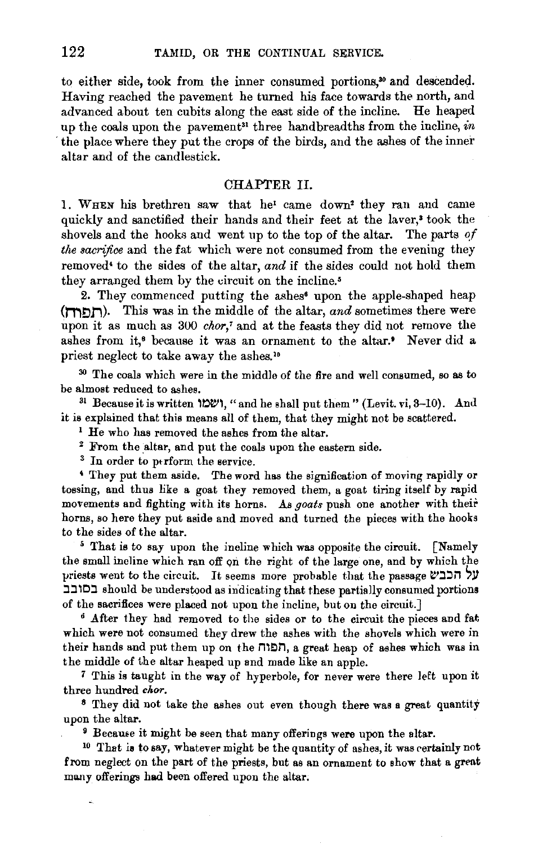to either side, took from the inner consumed portions,•• and descended. Having reached the pavement he turned his face towards the north, and advanced about ten cubits along the east side of the incline. He heaped up the coals upon the pavement<sup>31</sup> three handbreadths from the incline,  $\dot{m}$ the place where they put the crops of the birds, and the ashes of the inner altar and of the candlestick.

#### CHAPTER II.

1. WHEN his brethren saw that he<sup>1</sup> came down<sup>2</sup> they ran and came quickly and sanctified their hands and their feet at the laver,<sup>3</sup> took the shovels and the hooks and went up to the top of the altar. The parts *of*  the sacrifice and the fat which were not consumed from the evening they removed• to the sides of the altar, *and* if the sides could not hold them they arranged them by the circuit on the incline.<sup>5</sup>

2. They commenced putting the ashes• upon the apple-shaped heap **(mEJJi).** This was in the middle of the altar, *and* sometimes there were upon it as much as 300 *chor*,<sup>*r*</sup> and at the feasts they did not remove the ashes from it,<sup>8</sup> because it was an ornament to the altar.<sup>•</sup> Never did a priest neglect to take away the ashes. 1•

30 The coals which were in the middle of the fire and well consumed, so as to be almost reduced to ashes.<br><sup>31</sup> Because it is written  $122'$ , "and he shall put them" (Levit. vi, 3-10). And

it is explained that this means all of them, that they might not be scattered.

<sup>1</sup> He who has removed the ashes from the altar.<br>
<sup>2</sup> From the altar, and put the coals upon the eastern side.<br>
<sup>3</sup> In order to ptrform the service.<br> **4** They put them aside. The word has the signification of moving rapid tossing, and thus like a goat they removed them, a goat tiring itself by rapid movements and fighting with its horns. As *goats* push one another with their horns, so here they put aside and moved and turned the pieces with the hooks to the sides of the altar. 5 That is to say upon the incline which was opposite the circuit. [Namely

the small incline which ran off qn the right of the large one, and by which the priests went to the circuit. It seems more probable that the passage  $v$ בב $v$ :J:J lO:J should be understood as in.dicating that these partially consumed portions of the sacrifices were placed not upon the incline, but on the circuit.]

<sup>o</sup> After they had removed to the sides or to the circuit the pieces and fat which were not consumed they drew the ashes with the shovels which were in their hands and put them up on the תמוח, a great heap of ashes which was in the middle of the altar heaped up and made like an apple.

7 This is taught in the way of hyperbole, for never were there left upon it three hundred *ckor.* 

8 They did not take the ashes out even though there was a great quantity upon the altar.<br>9 Because it might be seen that many offerings were upon the altar.<br><sup>10</sup> That is to say, whatever might be the quantity of ashes, it was certainly not

from neglect on the part of the priests, but as an ornament to show that a great many offerings had been offered upon the altar.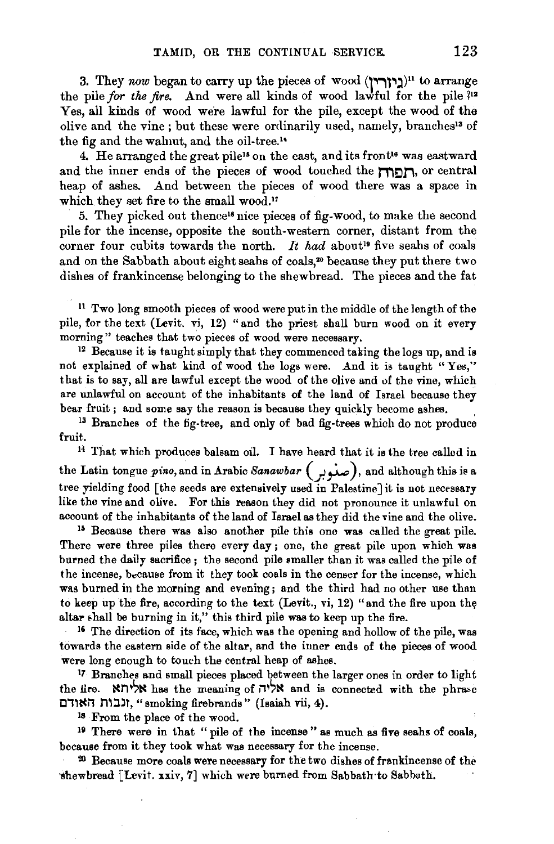3. They now began to carry up the pieces of wood (בְיוֹרִין)<sup>11</sup> to arrange the pile for the fire. And were all kinds of wood lawful for the pile ?<sup>12</sup> Yes, all kinds of wood were lawful for the pile, except the wood of tha olive and the vine; but these were ordinarily used, namely, branches13 of the fig and the walnut, and the oil-tree."

4. He arranged the great pile<sup>15</sup> on the east, and its front<sup>16</sup> was eastward and the inner ends of the pieces of wood touched the **moli,** or central heap of ashes. And between the pieces of wood there was a space in which they set fire to the small wood."

5. They picked out thence18 nice pieces of fig-wood, to make the second pile for the incense, opposite the south-western corner, distant from the corner four cubits towards the north. *It had* about'• five seahs of coals and on the Sabbath about eight seahs of coals,<sup>20</sup> because they put there two dishes of frankincense belonging to the shewbread. The pieces and the fat

11 Two long smooth pieces of wood were put in the middle of the length of the pile, for the text (Levit. vi, 12) "and the priest shall burn wood on it every morning" teaches that two pieces of wood were necessary.<br><sup>12</sup> Because it is taught simply that they commenced taking the logs up, and is

not explained of what kind of wood the logs were. And it is taught "Yes," that is to say, all are lawful except the wood of the olive and of the vine, which are unlawful on account of the inhabitants of the land of Israel because they bear fruit ; and some say the reason is because they quickly become ashes.<br><sup>13</sup> Branches of the fig-tree, and only of bad fig-trees which do not produce

fruit. 14 That which produces balsam oil. I have heard that it is the tree called in

the Latin tongue *pino*, and in Arabic *Sanawbar* (صنوبر), and although this is a tree yielding food [the seeds are extensively used in Palestine J it is not necessary like the vine and olive. For this reason they did not pronounce it unlawful on account of the inhabitants of the land of Israel as they did the vine and the olive.

<sup>15</sup> Because there was also another pile this one was called the great pile. There were three piles there every day; one, the great pile upon which was burned the daily sacrifice; the second pile smaller than it was called the pile of the incense, b<sub>c</sub>cause from it they took coals in the censer for the incense, which was burned in the morning and evening ; and the third had no other use than to keep up the fire, according to the text (Levit., vi, 12) "and the fire upon the altar shall be burning in it," this third pile was to keep up the fire.<br><sup>16</sup> The direction of its face, which was the opening and hollow of the pile, was

towards the eastern side of the altar, and the inner ends of the pieces of wood were long enough to touch the central heap of ashes.<br><sup>17</sup> Branches and small pieces placed between the larger ones in order to light

the fire. \*אליה has the meaning of אליה and is connected with the phrase C,l~i1 **nl:lJt,** "smoking firebrands" (Isaiah vii, 4).

<sup>15</sup> From the place of the wood.<br><sup>19</sup> There were in that "pile of the incense" as much as flve seahs of coals, because from it they took what was necessary for the incense.

20 Because more coals were necessary for the two dishes of frankincense of the shewbread [Levit. xxiv, 7] which were burned from Sabbath to Sabbath.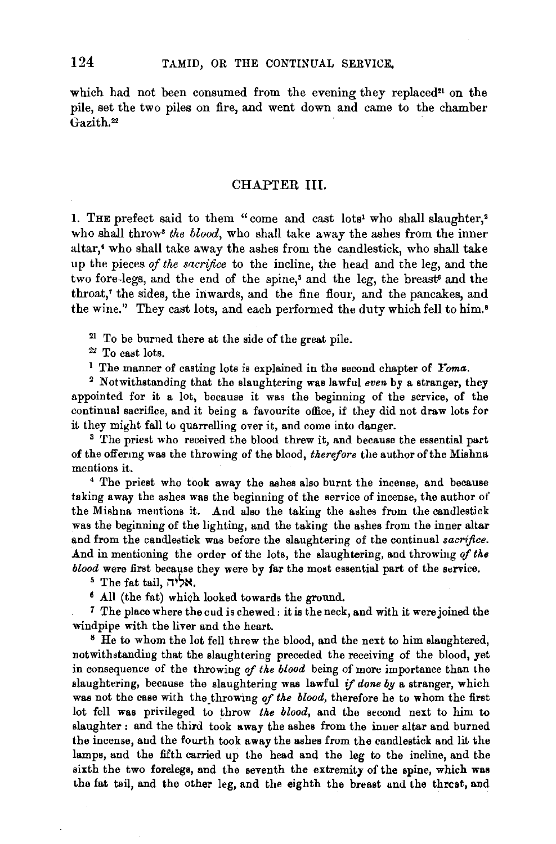which had not been consumed from the evening they replaced<sup>21</sup> on the pile, set the two piles on fire, and went down and came to the chamber Gazith.<sup>22</sup>

### CHAPTER Ill.

1. THE prefect said to them "come and cast lots' who shall slaughter,<sup>2</sup> who shall throw<sup>3</sup> the blood, who shall take away the ashes from the inner altar,• who shall take away the ashes from the candlestick, who shall take up the pieces *of the sacrifice* to the incline, the head and the leg, and the two fore-legs, and the end of the spine,<sup>5</sup> and the leg, the breast<sup>6</sup> and the throat,' the sides, the inwards, and the fine flour, and the pancakes, and the wine." They cast lots, and each performed the duty which fell to him.<sup>8</sup>

21 To be burned there at the side of the great pile.

22 To cast lots.

1 The manner of casting lots is explained in the second chapter of *Yoma.* 

2 Notwithstanding that the slaughtering was lawful *even* by a stranger, they appointed for it a lot, becanse it was the beginning of the service, of the continual sacrifice, and it being a favourite office, if they did not draw lots for it they might fall to quarrelling over it, and come into danger. 3 The priest who received the blood threw it, and because the essential part

of the offermg was the throwing of the blood, *therefore* the author of the Mishna mentions it. 4 The priest who took away the ashes also burnt the incense, and because

taking away the ashes was the beginning of the service of incense, the author of the Mishna mentions it. And also the taking the ashes from the candlestick was the beginning of the lighting, and the taking the ashes from the inner altar and from the candlestick was before the slaughtering of the continual *sacrifice.*  And in mentioning the order of the lots, the slaughtering, and throwing of *tke blood* were first because they were by far the most essential part of the service.

 $^5$  The fat tail, אליה.

6 All (the fat) which looked towards the ground.

<sup>7</sup>The place where the cud is chewed: it is the neck, and with it were joined the windpipe with the liver and the heart.<br><sup>8</sup> He to whom the lot fell threw the blood, and the next to him slaughtered,

notwithstanding that the slaughtering preceded the receiving of the blood, yet in consequence of the throwing *of tke blood* being of more importance than the slaughtering, becanse the slaughtering was lawful if *done by* a stranger, which was not the case with the throwing of the blood, therefore he to whom the first lot fell was privileged to throw *tke blood,* and the second next to him to slaughter: and the third took away the ashes from the inner altar and burned the incense, and the fourth took away the ashes from the candlestick and lit the lamps, and the fifth carried up the head and the leg to the incline, and the sixth the two forelegs, and the seventh the extremity of the spine, which was the fat tail, and the other leg, and the eighth the breast and the threat, and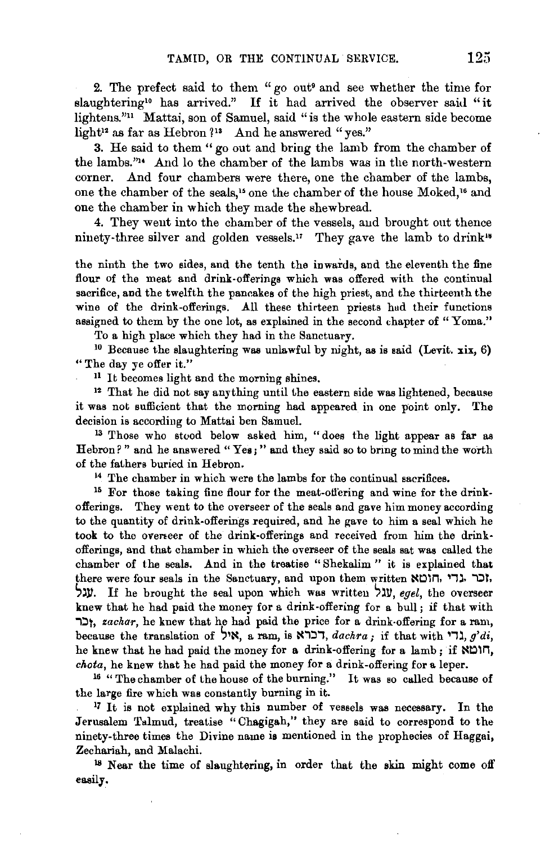2. The prefect said to them " go out" and see whether the time for slaughtering<sup>10</sup> has arrived." If it had arrived the observer said "it lightens."<sup>11</sup> Mattai, son of Samuel, said "is the whole eastern side become light<sup>12</sup> as far as Hebron ?<sup>13</sup> And he answered "yes."

3. He said to them" go out and bring the lamb from the chamber of the lambs."" And lo the chamber of the lambs was in the north-western corner. And four chambers were there, one the chamber of the lambs, one the chamber of the seals,10 one the chamber of the house Moked,•• and one the chamber in which they made the shewbread.

4. They went into the chamber of the vessels, and brought out thence ninety-three silver and golden vessels.<sup>17</sup> They gave the lamb to drink<sup>18</sup>

the ninth the two sides, and the tenth the inwards, and the eleventh the fine flour of the meat and drink-offerings which was offered with the continual sacrifice, and the twelfth the pancakes of the high priest, and the thirteenth the wine of the drink-offerings. All these thirteen priests had their functions assigned to them by the one lot, as explained in the second chapter of "Yoma."

To a high place which they had in the Sanctuary.<br><sup>10</sup> Because the slaughtering was unlawful by night, as is said (Levit. xix, 6) "The day ye offer it."<br>
<sup>11</sup> It becomes light and the morning shines.<br>
<sup>12</sup> That he did not say anything until the eastern side was lightened, because

it was not sufficient that the morning had appeared in one point only. The decision is according to Mattai ben Samuel.<br><sup>13</sup> Those who stood below asked him, "does the light appear as far as

Hebron?" and he answered "Yes;" and they said so to bring to mind the worth % of the fathers buried in Hebron.<br><sup>14</sup> The chamber in which were the lambs for the continual sacrifices.<br><sup>15</sup> For those taking fine flour for the meat-offering and wine for the drink-

offerings. They went to the overseer of the seals and gave him money according to the quantity of drink-offerings required, and he gave to him a seal which he took to the overseer of the drink-offerings and received from him the drinkofferings, and that chamber in which the overseer of the seals sat was called the chamber of the seals. And in the treatise "Shekalim " it is explained that there were four seals in the Sanctuary, and upon them written  $\mathcal{X}$ ובה, '1), i: ~)l). I£ he brought the seal upon which was written ~)tl, *egel,* the overseer knew that he had paid the money for a drink-offering for a bull; if that with i::lf, *zachar,* he knew that he had paid the price for a drink-offering for a ram, because the translation of  $\aleph$ , a ram, is  $\blacktriangle$ רברא, *dachra*; if that with '1, *g'di*, he knew that he had paid the money for a drink-offering for a lamb; if  $N\mathbb{C}\setminus\mathbb{C}$ , *chota,* he knew that he had paid the money for a drink-offering for a leper. 16 "The chamber of the house of the burning." It was so called because of

the large fire which was constantly burning in it.

<sup>1</sup>7 It is not explained why this number of vessels was necessary. In the Jerusalem Talmud, treatise "Chagigah," they are said to correspond to the ninety-three times the Divine name is mentioned in the prophecies of Haggai, Zechariah, and Malachi.

<sup>18</sup> Near the time of slaughtering, in order that the skin might come off easily.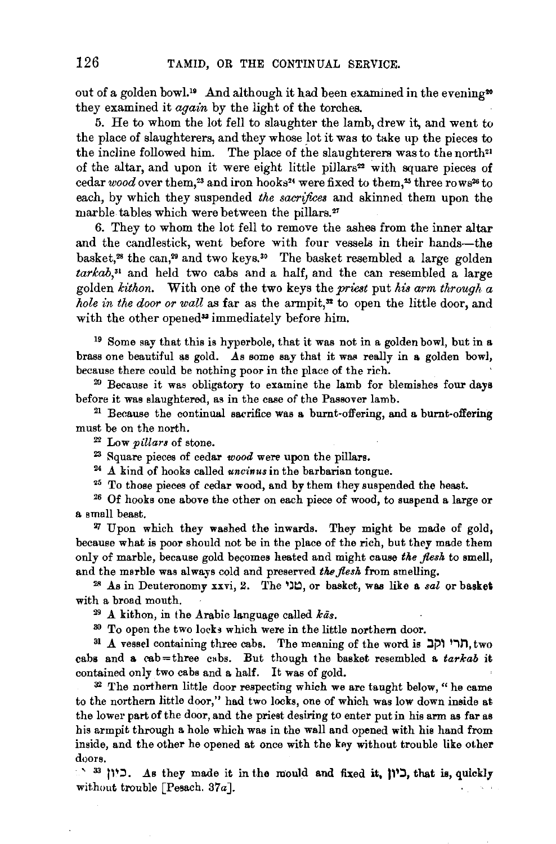out of a golden bowl.<sup>19</sup> And although it had been examined in the evening<sup>20</sup> they examined it *again* by the light of the torches.

5. He to whom the lot fell to slaughter the lamb, drew it, and went to the place of slaughterers, and they whose lot it was to take up the pieces to the incline followed him. The place of the slaughterers was to the north<sup>21</sup> of the altar, and upon it were eight little pillars<sup>22</sup> with square pieces of cedar *wood* over them,<sup>23</sup> and iron hooks<sup>24</sup> were fixed to them,<sup>25</sup> three rows<sup>26</sup> to each, by which they suspended *the sacrifices* and skinned them upon the marble tables which were between the pillars.<sup>27</sup>

6. They to whom the lot fell to remove the ashes from the inner altar and the candlestick, went before with four vessels in their hands-the basket,<sup>28</sup> the can,<sup>29</sup> and two keys.<sup>30</sup> The basket resembled a large golden tarkab,<sup>31</sup> and held two cabs and a half, and the can resembled a large golden *kithon.* With one of the two keys the *priest* put *his arm through a hole in the door or wall* as far as the armpit,<sup>32</sup> to open the little door, and with the other opened<sup>33</sup> immediately before him.

19 Some say that this is hyperbole, that it was not in a golden bowl, but in a brass one beautiful as gold. As some say that it was really in a golden bowl, because there could be nothing poor in the place of the rich.<br><sup>20</sup> Because it was obligatory to examine the lamb for blemishes four days

before it was slaughtered, as in the case of the Passover lamb.<br><sup>21</sup> Because the continual sacrifice was a burnt-offering, and a burnt-offering

must be on the north.<br>
<sup>22</sup> Low *pillars* of stone.<br>
<sup>23</sup> Square pieces of cedar *wood* were upon the pillars.<br>
<sup>24</sup> A kind of hooks called *uncinus* in the barbarian tongue.<br>
<sup>25</sup> To those pieces of cedar wood, and by th

a small beast.

*Zl* Upon which they washed the inwards. They might be made of gold, because what is poor should not be in the place of the rich, but they made them only of marble, because gold becomes heated and might cause *tke flesk* to smell, and the marble was always cold and preserved *tkeflesk* from smelling.

<sup>28</sup> As in Deuteronomy xxvi, 2. The ID, or basket, was like a *sal* or basket with a broad mouth.

 $^{29}$  A kithon, in the Arabic language called  $k\tilde{a}s$ .

30 To open the two locks which were in the little northern door. 31 A vessel containing three cabs. The meaning of the word is **:li'l ''1n,** two cabs and a cab=three cabs. But though the basket resembled a *tarkab* it contained only two cabs and a half. It was of gold.<br><sup>32</sup> The northern little door respecting which we are taught below, " he came

to the northern little door," had two locks, one of which was low down inside at the lower part of the door, and the priest desiring to enter put in his arm as far as his armpit through 8 hole which was in the wall and opened with his hand from inside, and the other he opened at once with the key without trouble like other doors.

" 33 p. As they made it in the mould and fixed it, **pp.** that is, quickly without trouble [Pesach. *37a].*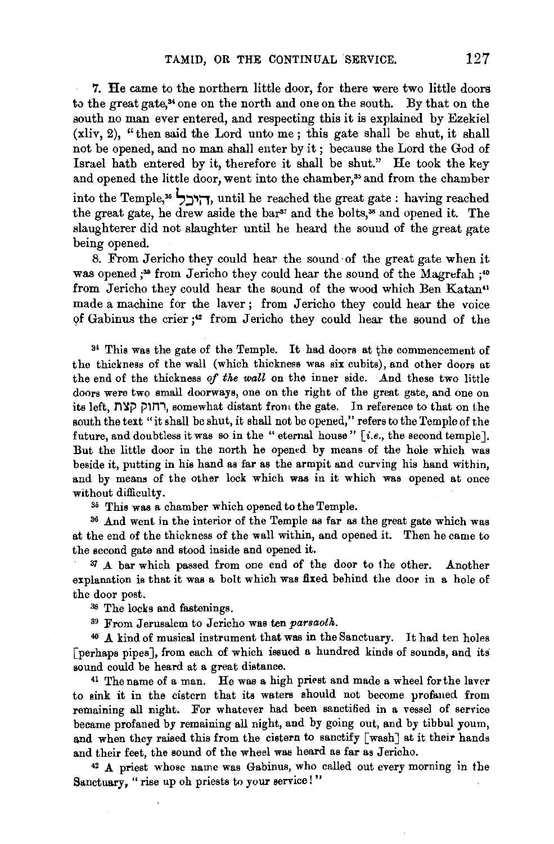7. He came to the northern little door, for there were two little doors to the great gate,<sup>34</sup> one on the north and one on the south. By that on the south no man ever entered, and respecting this it is explained by Ezekiel (xliv, 2), "then said the Lord unto me; this gate shall be shut, it shall not be opened, and no man shall enter by it ; because the Lord the God of Israel hatb entered by it, therefore it shall be shut." He took the key and opened the little door, went into the chamber,<sup>35</sup> and from the chamber into the Temple,36 **t,,:J.,j1,** until he reached the great gate: having reached the great gate, he drew aside the bar<sup>37</sup> and the bolts,<sup>38</sup> and opened it. The slaughterer did not slaughter until he heard the sound of the great gate being opened.

8. From Jericho they could hear the sound· of the great gate when it was opened ;<sup>39</sup> from Jericho they could hear the sound of the Magrefah ;<sup>40</sup> from Jericho they could hear the sound of the wood which Ben Katan" made a machine for the laver; from Jericho they could hear the voice of Gabinus the crier;<sup>42</sup> from Jericho they could hear the sound of the

34 This was the gate of the Temple. It had doors at the commencement of the thickness of the wall (which thickness was six cubits), and other doors at the end of the thickness *of the wall* on the inner side. And these two little doors were two small doorways, one on the right of the great gate, and one on its left, רחוק קצח, somewhat distant from the gate. In reference to that on the south the text "it shall be shut, it shall not be opened," refers to the Temple of the future, and doubtless it was so in the " eternal house"  $[i.e.,$  the second temple]. But the little door in the north he opened by means of the hole which was beside it, putting in his hand as far as the armpit and curving his hand within, and by means of the other lock which was in it which was opened at once without difficulty.

35 This was a chamber which opened to the Temple.

36 And went in the interior of the Temple as far as the great gate which was at the end of the thickness of the wall within, and opened it. Then he came to the second gate and stood inside and opened it.

37 A bar which passed from one end of the door to the other. Another explanation is that it was a bolt which was fixed behind the door in a hole of the door post. 38 The locks and fastenings.

39 From Jerusalem to Jericho was ten *parsaoth.* 

<sup>40</sup> A kind of musical instrument that was in the Sanctuary. It had ten holes [perhaps pipes], from each of which issued a hundred kinds of sounds, and its sound could be heard at a great distance.

41 The name of a man. He was a high priest and made a wheel for the laver to sink it in the cistern that its waters should not become profaned from remaining all night. For whatever had been sanctified in a vessel of service became profaned by remaining all night, and by going out, and by tibbul yourn, and when they raised this from the cistern to sanctify [wash] at it their hands and their feet, the sound of the wheel was heard as far as Jericho.

42 A priest whose name was Gabinus, who called out every morning in the Sanctuary, "rise up oh priests to your service!"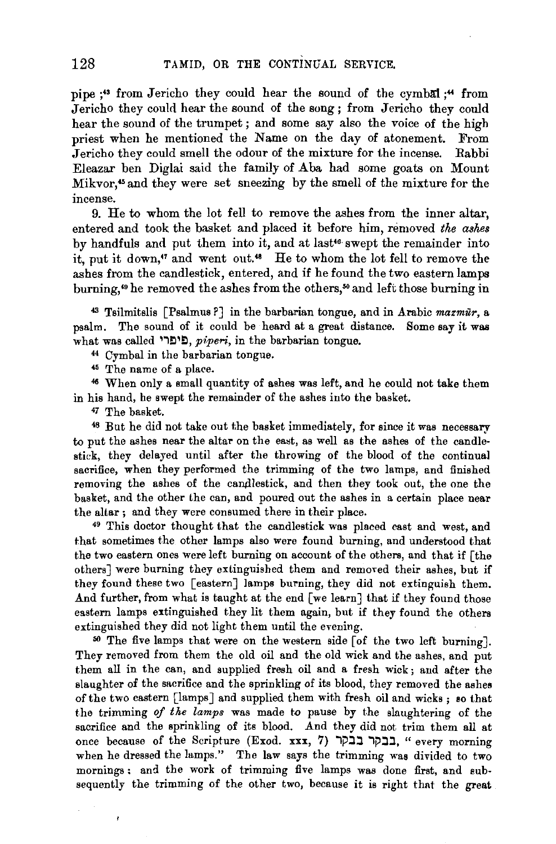pipe :<sup>43</sup> from Jericho they could hear the sound of the cymbal ;<sup>44</sup> from Jericho they could hear the sound of the song; from Jericho they could hear the sound of the trumpet ; and some say also the voice of the high priest when he mentioned the Name on the day of atonement. From Jericho they could smell the odour of the mixture for the incense. Rabbi Eleazar ben Diglai said the family of Aba had some goats on Mount Mikvor,45 and they were set sneezing by the smell of the mixture for the incense.

9. He to whom the lot fell to remove the ashes from the inner altar, entered and took the basket and placed it before him, removed *the ashes*  by handfuls and put them into it, and at last<sup>46</sup> swept the remainder into it, put it down," and went out.<sup>48</sup> He to whom the lot fell to remove the ashes from the candlestick, entered, and if he found the two eastern lamps burning,<sup>49</sup> he removed the ashes from the others,<sup>50</sup> and left those burning in

43 Tsilmitslis [Psalmus ?] in the barbarian tongue, and in Arabic *mazmur*, a psalm. The sound of it could be heard at a great distance. Some say it was what was called **''1!:l'!:l,** *p1:peri,* in the barbarian tongue.

<sup>44</sup> Cymbal in the barbarian tongue.

45 The name of a place.

<sup>46</sup>When only a small quantity of ashes was left, and he could not take them in his hand, he swept the remainder of the ashes into the basket.

*<sup>47</sup>*The basket.

 $\lambda$ 

48 But he did not take out the basket immediately, for since it was necessary to put the ashes near the altar on the east, as well as the ashes of the candlestiek, they delayed until after the throwing of the blood of the continual sacrifice, when they performed the trimming of the two lamps, and finished removing the ashes of the candlestick, and then they took out, the one the basket, and the other the can, and poured out the ashes in a certain place near the altar ; and they were consumed there in their place. 49 This doctor thought that the candlestick was placed east and west, and

that sometimes the other lamps also were found burning, and understood that the two eastern ones were left burning on account of the others, and that if [the others] were burning they extinguished them and removed their ashes, but if they found these two [eastern] lamps burning, they did not extinguish them. And further, from what is taught at the end [we learn] that if they found those eastern lamps extinguished they lit them again, but if they found the others extinguished they did not light them until the evening.

50 The five lamps that were on the western side [of the two left burning]. They removed from them the old oil and the old wick and the ashes, and put them all in the can, and supplied fresh oil and a fresh wick ; and after the slaughter of the sacrifice and the sprinkling of its blood, they removed the ashes of the two eastern [lamps J and supplied them with fresh oil and wicks ; so that the trimming of the lamps was made to pause by the slaughtering of the sacrifice and the sprinkling of its blood. And they did not trim them all at once because of the Scripture (Exod. xxx, 7) **'1j:l.:l.:l '1j:l.:l.:l,** " every morning when he dressed the lamps." The law says the trimming was divided to two mornings : and the work of trimming five lamps was done first, and subsequently the trimming of the other two, because it is right that the great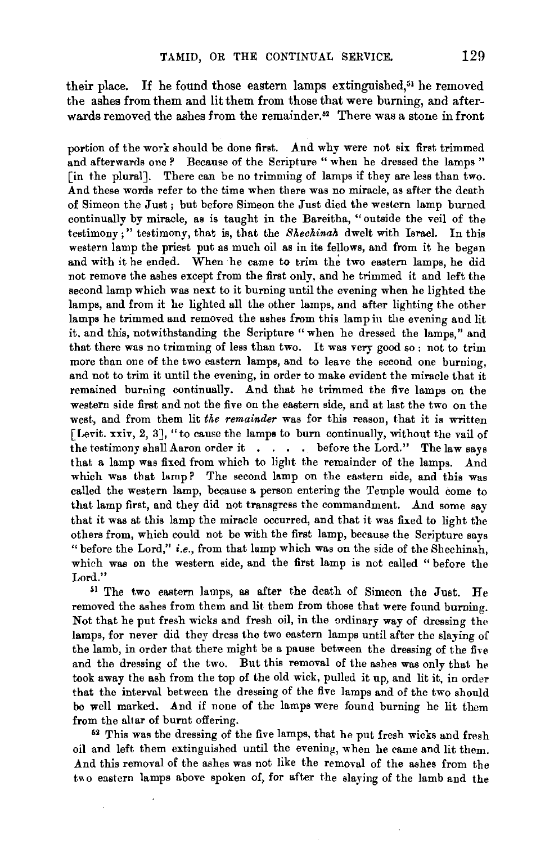their place. If he found those eastern lamps extinguished,<sup>51</sup> he removed the ashes from them and lit them from those that were burning, and afterwards removed the ashes from the remainder.<sup>52</sup> There was a stone in front

portion of the work should be done first. And why were not six first trimmed and afterwards one? Because of the Scripture " when he dressed the lamps " [in the plural]. There can be no trimming of lamps if they are less than two. And these words refer to the time when there was no miracle, as after the death of Simeon the Just; but before Simeon the Just died the western lamp burned continually by miracle, as is taught in the Bareitha, "outside the veil of the testimony;" testimony, that is, that the *Sheckinah* dwelt with Israel. In this western lamp the priest put as much oil as in its fellows, and from it he began and with it he ended. When he came to trim the two eastern lamps, he did not remove the ashes except from the first only, and he trimmed it and left the second lamp which was next to it burning until the evening when he lighted the lamps, and from it he lighted all the other lamps, and after lighting the other lamps he trimmed and removed the ashes from this lamp in the evening and lit it, and this, notwithstanding the Scripture "when he dressed the lamps," and that there was no trimming of less than two. It was very good so : not to trim more than one of the two eastern lamps, and to leave the second one burning, and not to trim it until the evening, in order to make evident the miracle that it remained burning continually. And that he trimmed the five lamps on the western side first and not the five on the eastern side, and at last the two on the west, and from them lit *the remainder* was for this reason, that it is written [Levit. xxiv, 2, 3], "to cause the lamps to burn continually, without the vail of the testimony shall Aaron order it  $\ldots$  before the Lord." The law says that a lamp was fixed from which to light the remainder of the lamps. And which was that lamp? The second lamp on the eastern side, and this was called the western lamp, because a person entering the Temple would come to that lamp first, and they did not transgress the commandment. And some say that it was at this lamp the miracle occurred, and that it was fixed to light the others from, which could not be with the first lamp, because the Scripture says "before the Lord," *i.e.,* from that lamp which was on the side of the Shechinah, which was on the western side, and the first lamp is not called "before the Lord."<br><sup>51</sup> The two eastern lamps, as after the death of Simeon the Just. He

removed the ashes from them and lit them from those that were found burning. Not that he put fresh wicks and fresh oil, in the ordinary way of dressing the lamps, for never did they dress the two eastern lamps until after the slaying of the lamb, in order that there might be a pause between the dressing of the fiye and the dressing of the two. But this removal of the ashes was only that he took away the ash from the top of the old wick, pulled it up, and lit it, in order that the interval between the dressing of the five lamps and of the two should be well marked. And if none of the lamps were found burning he lit them from the altar of burnt offering.

62 This was the dressing of the five lamps, that he put fresh wicks and fresh oil and left them extinguished until the evening, when he came and lit them. And this removal of the ashes was not like the removal of the ashes from the two eastern lamps above spoken of, for after the slaying of the lamb and the